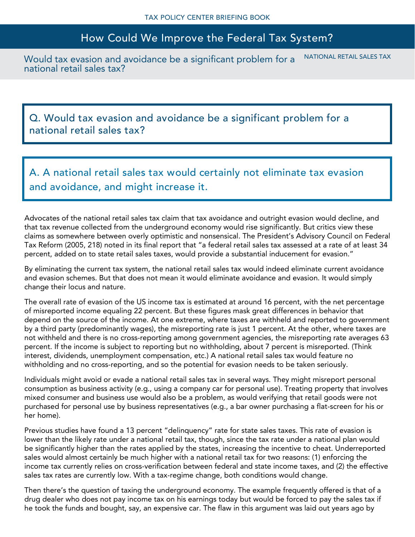## How Could We Improve the Federal Tax System?

Would tax evasion and avoidance be a significant problem for a national retail sales tax? NATIONAL RETAIL SALES TAX

Q. Would tax evasion and avoidance be a significant problem for a national retail sales tax?

A. A national retail sales tax would certainly not eliminate tax evasion and avoidance, and might increase it.

Advocates of the national retail sales tax claim that tax avoidance and outright evasion would decline, and that tax revenue collected from the underground economy would rise significantly. But critics view these claims as somewhere between overly optimistic and nonsensical. The President's Advisory Council on Federal Tax Reform (2005, 218) noted in its final report that "a federal retail sales tax assessed at a rate of at least 34 percent, added on to state retail sales taxes, would provide a substantial inducement for evasion."

By eliminating the current tax system, the national retail sales tax would indeed eliminate current avoidance and evasion schemes. But that does not mean it would eliminate avoidance and evasion. It would simply change their locus and nature.

The overall rate of evasion of the US income tax is estimated at around 16 percent, with the net percentage of misreported income equaling 22 percent. But these figures mask great differences in behavior that depend on the source of the income. At one extreme, where taxes are withheld and reported to government by a third party (predominantly wages), the misreporting rate is just 1 percent. At the other, where taxes are not withheld and there is no cross-reporting among government agencies, the misreporting rate averages 63 percent. If the income is subject to reporting but no withholding, about 7 percent is misreported. (Think interest, dividends, unemployment compensation, etc.) A national retail sales tax would feature no withholding and no cross-reporting, and so the potential for evasion needs to be taken seriously.

Individuals might avoid or evade a national retail sales tax in several ways. They might misreport personal consumption as business activity (e.g., using a company car for personal use). Treating property that involves mixed consumer and business use would also be a problem, as would verifying that retail goods were not purchased for personal use by business representatives (e.g., a bar owner purchasing a flat-screen for his or her home).

Previous studies have found a 13 percent "delinquency" rate for state sales taxes. This rate of evasion is lower than the likely rate under a national retail tax, though, since the tax rate under a national plan would be significantly higher than the rates applied by the states, increasing the incentive to cheat. Underreported sales would almost certainly be much higher with a national retail tax for two reasons: (1) enforcing the income tax currently relies on cross-verification between federal and state income taxes, and (2) the effective sales tax rates are currently low. With a tax-regime change, both conditions would change.

Then there's the question of taxing the underground economy. The example frequently offered is that of a drug dealer who does not pay income tax on his earnings today but would be forced to pay the sales tax if he took the funds and bought, say, an expensive car. The flaw in this argument was laid out years ago by